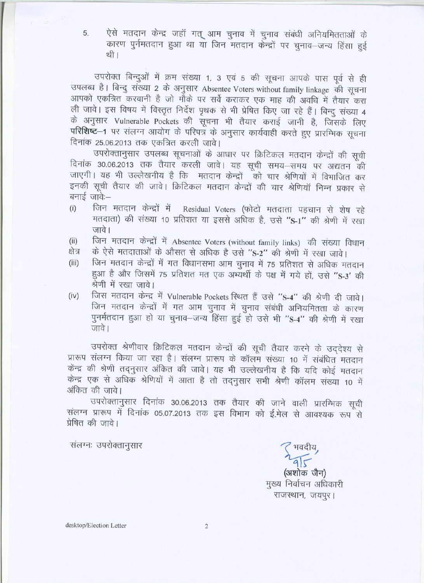ऐसे मतदान केन्द्र जहाँ गत् आम चुनाव में चुनाव संबंधी अनियमितताओं के 5. कारण पुर्नमतदान हुआ था या जिन मतदान केन्द्रों पर चुनाव-जन्य हिंसा हुई थी ।

उपरोक्त बिन्दुओं में क्रम संख्या 1, 3 एवं 5 की सूचना आपके पास पूर्व से ही उपलब्ध है। बिन्दु संख्या 2 के अनुसार Absentee Voters without family linkage की सूचना आपको एकत्रित करवानी है जो मौके पर सर्वे कराकर एक माह की अवधि में तैयार करा ली जावे। इस विषय में विस्तृत निर्देश पृथक से भी प्रेषित किए जा रहे हैं। बिन्दु संख्या 4 के अनुसार Vulnerable Pockets की सूचना भी तैयार कराई जानी है, जिसके लिए परिशिष्ट-1 पर संलग्न आयोग के परिपत्र के अनुसार कार्यवाही करते हुए प्रारम्भिक सूचना दिनांक 25.06.2013 तक एकत्रित करली जावे।

उपरोक्तानुसार उपलब्ध सूचनाओं के आधार पर क्रिटिकल मतदान केन्द्रों की सूची दिनांक 30.06.2013 तक तैयार करली जावे। यह सूची समय-समय पर अद्यतन की जाएगी। यह भी उल्लेखनीय है कि मतदान केन्द्रों को चार श्रेणियों में विभाजित कर इनकी सूची तैयार की जावे। क्रिटिकल मतदान केन्द्रों की चार श्रेणियॉ निम्न प्रकार से बनाई जावे:—

- जिन मतदान केन्द्रों में Residual Voters (फोटो मतदाता पहचान से शेष रहे  $(i)$ मतदाता) की संख्या 10 प्रतिशत या इससे अधिक है, उसे "S-1" की श्रेणी में रखा जावे।
- जिन मतदान केन्द्रों में Absentee Voters (without family links) की संख्या विधान  $(ii)$
- के ऐसे मतदाताओं के औसत से अधिक है उसे "S-2" की श्रेणी में रखा जावे। क्षेत्र
- जिन मतदान केन्द्रों में गत विधानसभा आम चुनाव में 75 प्रतिशत से अधिक मतदान  $(iii)$ हुआ है और जिसमें 75 प्रतिशत मत एक अभ्यर्थी के पक्ष में गये हों, उसे "S-3' की श्रेणी में रखा जावे।
- जिस मतदान केन्द्र में Vulnerable Pockets स्थित हैं उसे "S-4" की श्रेणी दी जावे।  $(iv)$ जिन मतदान केन्द्रों में गत आम चुनाव में चुनाव संबंधी अनियमितता के कारण पुनर्मतदान हुआ हो या चुनाव-जन्य हिंसा हुई हो उसे भी "S-4" की श्रेणी में रखा जावे।

उपरोक्त श्रेणीवार क्रिटिकल मतदान केन्द्रों की सूची तैयार करने के उददेश्य से प्रारूप संलग्न किया जा रहा है। संलग्न प्रारूप के कॉलम संख्या 10 में संबंधित मतदान केंन्द्र की श्रेणी तदनुसार अंकित की जावे। यह भी उल्लेखनीय है कि यदि कोई मतदान केन्द्र एक से अधिक श्रेणियों में आता है तो तदनुसार सभी श्रेणी कॉलम संख्या 10 में अंकित की जावे।

उपरोक्तानुसार दिनांक 30.06.2013 तक तैयार की जाने वाली प्रारम्भिक सूची संलग्न प्रारूप में दिनांक 05.07.2013 तक इस विभाग को ई.मेल से आवश्यक रूप से प्रेषित की जावे।

संलग्नः उपरोक्तानुसार

(अशोक जैन) मुख्य निर्वाचन अधिकारी राजस्थान, जयपुर।

desktop/Election Letter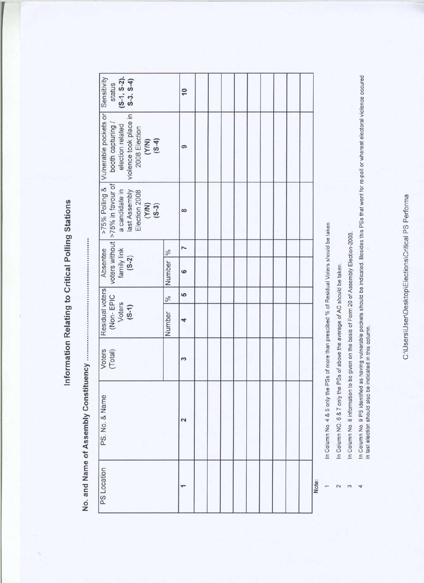Information Relating to Critical Polling Stations

i.

| $(5-1, 5-2).$<br>$5-3.5-4)$<br>Sensitivity<br>status                                                                                       | $\overline{10}$     |  |  |  |  |       |
|--------------------------------------------------------------------------------------------------------------------------------------------|---------------------|--|--|--|--|-------|
| >75% Polling & Vulnerable pockets or<br>violence took place in<br>booth capturing /<br>election related<br>2008 Election<br>(Y/N)<br>(S-4) | ၜ                   |  |  |  |  |       |
| voters without   >75% in favour of<br>a candidate in<br>last Assembly<br>Election 2008<br>$(Y/N)$<br>(5-3)                                 | $\infty$            |  |  |  |  |       |
|                                                                                                                                            | Z<br>$\frac{96}{6}$ |  |  |  |  |       |
| family link<br>Absentee<br>$(S-2)$                                                                                                         | Number<br>ဖ         |  |  |  |  |       |
|                                                                                                                                            | မာ<br>$\frac{6}{6}$ |  |  |  |  |       |
| Residual voters<br>(Non-EPIC<br>Voters<br>$(5-1)$                                                                                          | Number<br>4         |  |  |  |  |       |
| Voters<br>(Total)                                                                                                                          | 2                   |  |  |  |  |       |
| PS. No. & Name                                                                                                                             | 2                   |  |  |  |  |       |
| PS Location                                                                                                                                |                     |  |  |  |  | Note: |

vote:

 $\leftarrow$  $\sim$  $\infty$  $\overline{4}$ 

In Column No. 4 & 5 only the PSs of more than prescibed % of Residual Voters should be taken.

In Column NO. 6 & 7 only the PSs of above the average of AC should be taken.

In Column No. 8 information to be given on the basis of Form 20 of Assembly Election-2008.

In Column No. 9 PS identified as having vulnerable pockets should be indicated. Besides this PSs that went for re-poll or whereat electoral violence occured<br>in last election should also be indicated in this column.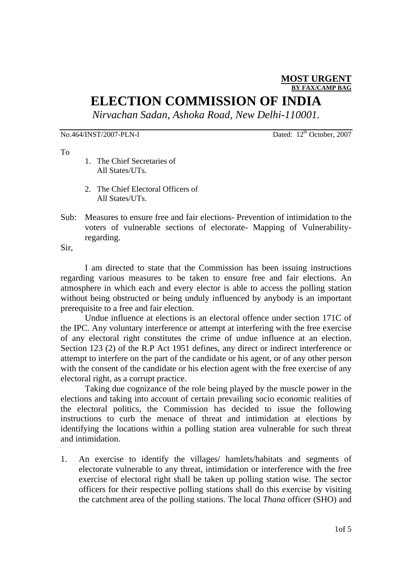#### **MOST URGENT BY FAX/CAMP BAG**

## **ELECTION COMMISSION OF INDIA**

*Nirvachan Sadan, Ashoka Road, New Delhi-110001.* 

No.464/INST/2007-PLN-I Dated: 12<sup>th</sup> October, 2007

To

- 1. The Chief Secretaries of All States/UTs.
- 2. The Chief Electoral Officers of All States/UTs.
- Sub: Measures to ensure free and fair elections- Prevention of intimidation to the voters of vulnerable sections of electorate- Mapping of Vulnerabilityregarding.

Sir,

I am directed to state that the Commission has been issuing instructions regarding various measures to be taken to ensure free and fair elections. An atmosphere in which each and every elector is able to access the polling station without being obstructed or being unduly influenced by anybody is an important prerequisite to a free and fair election.

Undue influence at elections is an electoral offence under section 171C of the IPC. Any voluntary interference or attempt at interfering with the free exercise of any electoral right constitutes the crime of undue influence at an election. Section 123 (2) of the R.P Act 1951 defines, any direct or indirect interference or attempt to interfere on the part of the candidate or his agent, or of any other person with the consent of the candidate or his election agent with the free exercise of any electoral right, as a corrupt practice.

Taking due cognizance of the role being played by the muscle power in the elections and taking into account of certain prevailing socio economic realities of the electoral politics, the Commission has decided to issue the following instructions to curb the menace of threat and intimidation at elections by identifying the locations within a polling station area vulnerable for such threat and intimidation.

1. An exercise to identify the villages/ hamlets/habitats and segments of electorate vulnerable to any threat, intimidation or interference with the free exercise of electoral right shall be taken up polling station wise. The sector officers for their respective polling stations shall do this exercise by visiting the catchment area of the polling stations. The local *Thana* officer (SHO) and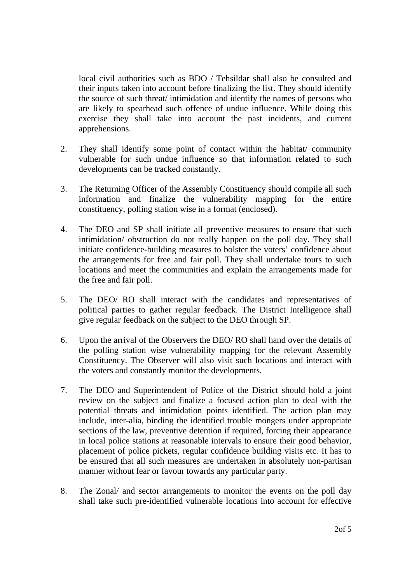local civil authorities such as BDO / Tehsildar shall also be consulted and their inputs taken into account before finalizing the list. They should identify the source of such threat/ intimidation and identify the names of persons who are likely to spearhead such offence of undue influence. While doing this exercise they shall take into account the past incidents, and current apprehensions.

- 2. They shall identify some point of contact within the habitat/ community vulnerable for such undue influence so that information related to such developments can be tracked constantly.
- 3. The Returning Officer of the Assembly Constituency should compile all such information and finalize the vulnerability mapping for the entire constituency, polling station wise in a format (enclosed).
- 4. The DEO and SP shall initiate all preventive measures to ensure that such intimidation/ obstruction do not really happen on the poll day. They shall initiate confidence-building measures to bolster the voters' confidence about the arrangements for free and fair poll. They shall undertake tours to such locations and meet the communities and explain the arrangements made for the free and fair poll.
- 5. The DEO/ RO shall interact with the candidates and representatives of political parties to gather regular feedback. The District Intelligence shall give regular feedback on the subject to the DEO through SP.
- 6. Upon the arrival of the Observers the DEO/ RO shall hand over the details of the polling station wise vulnerability mapping for the relevant Assembly Constituency. The Observer will also visit such locations and interact with the voters and constantly monitor the developments.
- 7. The DEO and Superintendent of Police of the District should hold a joint review on the subject and finalize a focused action plan to deal with the potential threats and intimidation points identified. The action plan may include, inter-alia, binding the identified trouble mongers under appropriate sections of the law, preventive detention if required, forcing their appearance in local police stations at reasonable intervals to ensure their good behavior, placement of police pickets, regular confidence building visits etc. It has to be ensured that all such measures are undertaken in absolutely non-partisan manner without fear or favour towards any particular party.
- 8. The Zonal/ and sector arrangements to monitor the events on the poll day shall take such pre-identified vulnerable locations into account for effective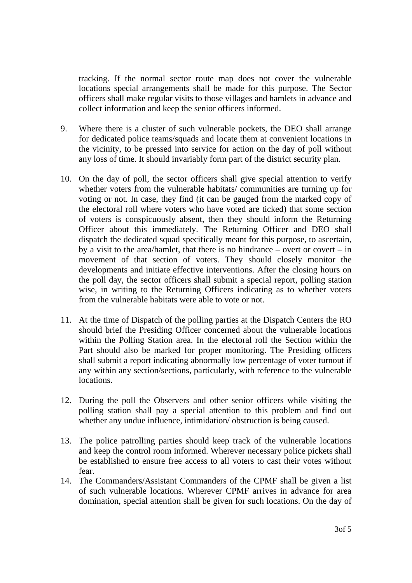tracking. If the normal sector route map does not cover the vulnerable locations special arrangements shall be made for this purpose. The Sector officers shall make regular visits to those villages and hamlets in advance and collect information and keep the senior officers informed.

- 9. Where there is a cluster of such vulnerable pockets, the DEO shall arrange for dedicated police teams/squads and locate them at convenient locations in the vicinity, to be pressed into service for action on the day of poll without any loss of time. It should invariably form part of the district security plan.
- 10. On the day of poll, the sector officers shall give special attention to verify whether voters from the vulnerable habitats/ communities are turning up for voting or not. In case, they find (it can be gauged from the marked copy of the electoral roll where voters who have voted are ticked) that some section of voters is conspicuously absent, then they should inform the Returning Officer about this immediately. The Returning Officer and DEO shall dispatch the dedicated squad specifically meant for this purpose, to ascertain, by a visit to the area/hamlet, that there is no hindrance – overt or covert – in movement of that section of voters. They should closely monitor the developments and initiate effective interventions. After the closing hours on the poll day, the sector officers shall submit a special report, polling station wise, in writing to the Returning Officers indicating as to whether voters from the vulnerable habitats were able to vote or not.
- 11. At the time of Dispatch of the polling parties at the Dispatch Centers the RO should brief the Presiding Officer concerned about the vulnerable locations within the Polling Station area. In the electoral roll the Section within the Part should also be marked for proper monitoring. The Presiding officers shall submit a report indicating abnormally low percentage of voter turnout if any within any section/sections, particularly, with reference to the vulnerable locations.
- 12. During the poll the Observers and other senior officers while visiting the polling station shall pay a special attention to this problem and find out whether any undue influence, intimidation/ obstruction is being caused.
- 13. The police patrolling parties should keep track of the vulnerable locations and keep the control room informed. Wherever necessary police pickets shall be established to ensure free access to all voters to cast their votes without fear.
- 14. The Commanders/Assistant Commanders of the CPMF shall be given a list of such vulnerable locations. Wherever CPMF arrives in advance for area domination, special attention shall be given for such locations. On the day of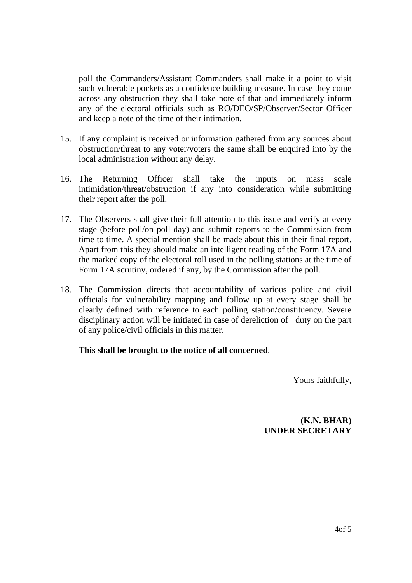poll the Commanders/Assistant Commanders shall make it a point to visit such vulnerable pockets as a confidence building measure. In case they come across any obstruction they shall take note of that and immediately inform any of the electoral officials such as RO/DEO/SP/Observer/Sector Officer and keep a note of the time of their intimation.

- 15. If any complaint is received or information gathered from any sources about obstruction/threat to any voter/voters the same shall be enquired into by the local administration without any delay.
- 16. The Returning Officer shall take the inputs on mass scale intimidation/threat/obstruction if any into consideration while submitting their report after the poll.
- 17. The Observers shall give their full attention to this issue and verify at every stage (before poll/on poll day) and submit reports to the Commission from time to time. A special mention shall be made about this in their final report. Apart from this they should make an intelligent reading of the Form 17A and the marked copy of the electoral roll used in the polling stations at the time of Form 17A scrutiny, ordered if any, by the Commission after the poll.
- 18. The Commission directs that accountability of various police and civil officials for vulnerability mapping and follow up at every stage shall be clearly defined with reference to each polling station/constituency. Severe disciplinary action will be initiated in case of dereliction of duty on the part of any police/civil officials in this matter.

### **This shall be brought to the notice of all concerned**.

Yours faithfully,

**(K.N. BHAR) UNDER SECRETARY**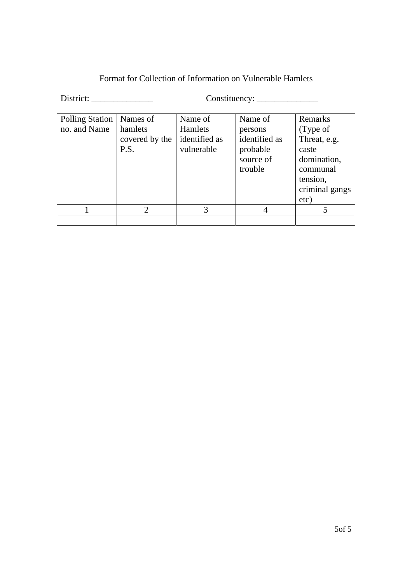| District:                       |                                               |                                                   |                                                                         |                                                                                                               |  |
|---------------------------------|-----------------------------------------------|---------------------------------------------------|-------------------------------------------------------------------------|---------------------------------------------------------------------------------------------------------------|--|
| Polling Station<br>no. and Name | Names of<br>hamlets<br>covered by the<br>P.S. | Name of<br>Hamlets<br>identified as<br>vulnerable | Name of<br>persons<br>identified as<br>probable<br>source of<br>trouble | Remarks<br>(Type of<br>Threat, e.g.<br>caste<br>domination,<br>communal<br>tension,<br>criminal gangs<br>etc) |  |

1 2 3 4 5

Format for Collection of Information on Vulnerable Hamlets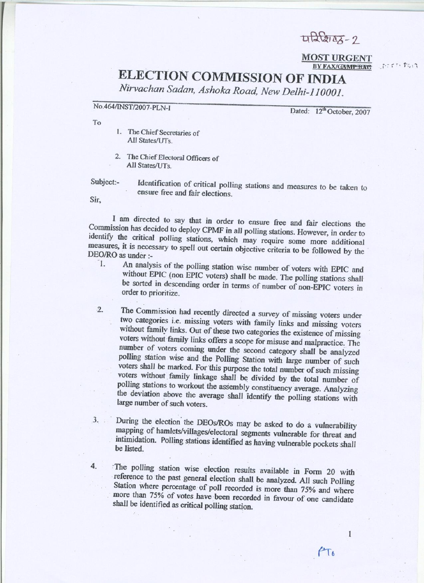$\sqrt{2\sqrt{2045}} - 2$ 

**MOST URGENT** BY FAX/GAMPBAC

アニアン おんす

# **ELECTION COMMISSION OF INDIA**

Nirvachan Sadan, Ashoka Road, New Delhi-110001.

No.464/INST/2007-PLN-I

Dated: 12<sup>th</sup> October, 2007

 $\mathbf{I}$ 

 $PT_{0}$ 

To

- 1. The Chief Secretaries of All States/UTs
- 2. The Chief Electoral Officers of All States/UTs

Subject:-

Identification of critical polling stations and measures to be taken to ensure free and fair elections.

Sir,

I am directed to say that in order to ensure free and fair elections the Commission has decided to deploy CPMF in all polling stations. However, in order to identify the critical polling stations, which may require some more additional measures, it is necessary to spell out certain objective criteria to be followed by the DEO/RO as under :- $\overline{1}$ .

- An analysis of the polling station wise number of voters with EPIC and without EPIC (non EPIC voters) shall be made. The polling stations shall be sorted in descending order in terms of number of non-EPIC voters in order to prioritize.
- $2.$ The Commission had recently directed a survey of missing voters under two categories i.e. missing voters with family links and missing voters without family links. Out of these two categories the existence of missing voters without family links offers a scope for misuse and malpractice. The number of voters coming under the second category shall be analyzed polling station wise and the Polling Station with large number of such voters shall be marked. For this purpose the total number of such missing voters without family linkage shall be divided by the total number of polling stations to workout the assembly constituency average. Analyzing the deviation above the average shall identify the polling stations with large number of such voters.
- During the election the DEOs/ROs may be asked to do a vulnerability  $3.$ mapping of hamlets/villages/electoral segments vulnerable for threat and intimidation. Polling stations identified as having vulnerable pockets shall be listed.
- 4. The polling station wise election results available in Form 20 with reference to the past general election shall be analyzed. All such Polling Station where percentage of poll recorded is more than 75% and where more than 75% of votes have been recorded in favour of one candidate shall be identified as critical polling station.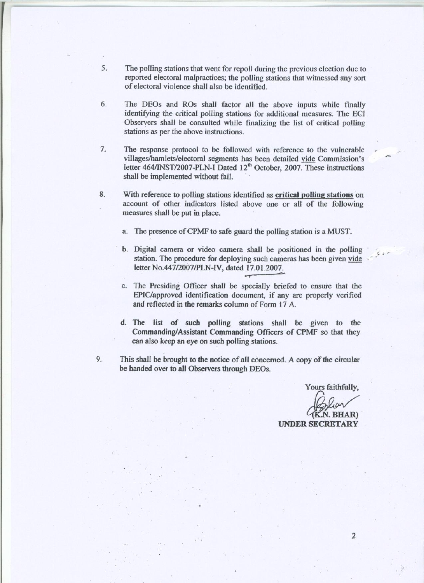- 5. The polling stations that went for repoll during the previous election due to reported electoral malpractices; the polling stations that witnessed any sort of electoral violence shall also be identified.
- 6. The DEOs and ROs shall factor all the above inputs while finally identifying the critical polling stations for additional measures. The ECI Observers shall be consulted while finalizing the list of critical polling stations as per the above instructions.
- $7.$ The response protocol to be followed with reference to the vulnerable villages/hamlets/electoral segments has been detailed vide Commission's letter 464/INST/2007-PLN-I Dated 12<sup>th</sup> October, 2007. These instructions shall be implemented without fail.
- 8. With reference to polling stations identified as critical polling stations on account of other indicators listed above one or all of the following measures shall be put in place.
	- a. The presence of CPMF to safe guard the polling station is a MUST.
	- b. Digital camera or video camera shall be positioned in the polling station. The procedure for deploying such cameras has been given vide letter No.447/2007/PLN-IV, dated 17.01.2007.
	- c. The Presiding Officer shall be specially briefed to ensure that the EPIC/approved identification document, if any are properly verified and reflected in the remarks column of Form 17 A.
	- d. The list of such polling stations shall be given to the Commanding/Assistant Commanding Officers of CPMF so that they can also keep an eye on such polling stations.
- 9. This shall be brought to the notice of all concerned. A copy of the circular be handed over to all Observers through DEOs.

Yours faithfully,

N. BHAR)

**UNDER SECRETARY**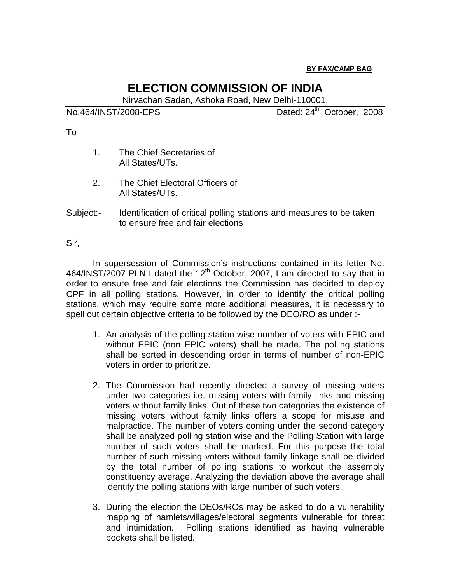### **BY FAX/CAMP BAG**

### **ELECTION COMMISSION OF INDIA**

Nirvachan Sadan, Ashoka Road, New Delhi-110001.

No.464/INST/2008-EPS Dated: 24<sup>th</sup> October, 2008

To

- 1. The Chief Secretaries of All States/UTs.
- 2. The Chief Electoral Officers of All States/UTs.
- Subject:- Identification of critical polling stations and measures to be taken to ensure free and fair elections

Sir,

In supersession of Commission's instructions contained in its letter No. 464/INST/2007-PLN-I dated the  $12<sup>th</sup>$  October, 2007, I am directed to say that in order to ensure free and fair elections the Commission has decided to deploy CPF in all polling stations. However, in order to identify the critical polling stations, which may require some more additional measures, it is necessary to spell out certain objective criteria to be followed by the DEO/RO as under :-

- 1. An analysis of the polling station wise number of voters with EPIC and without EPIC (non EPIC voters) shall be made. The polling stations shall be sorted in descending order in terms of number of non-EPIC voters in order to prioritize.
- 2. The Commission had recently directed a survey of missing voters under two categories i.e. missing voters with family links and missing voters without family links. Out of these two categories the existence of missing voters without family links offers a scope for misuse and malpractice. The number of voters coming under the second category shall be analyzed polling station wise and the Polling Station with large number of such voters shall be marked. For this purpose the total number of such missing voters without family linkage shall be divided by the total number of polling stations to workout the assembly constituency average. Analyzing the deviation above the average shall identify the polling stations with large number of such voters.
- 3. During the election the DEOs/ROs may be asked to do a vulnerability mapping of hamlets/villages/electoral segments vulnerable for threat and intimidation. Polling stations identified as having vulnerable pockets shall be listed.